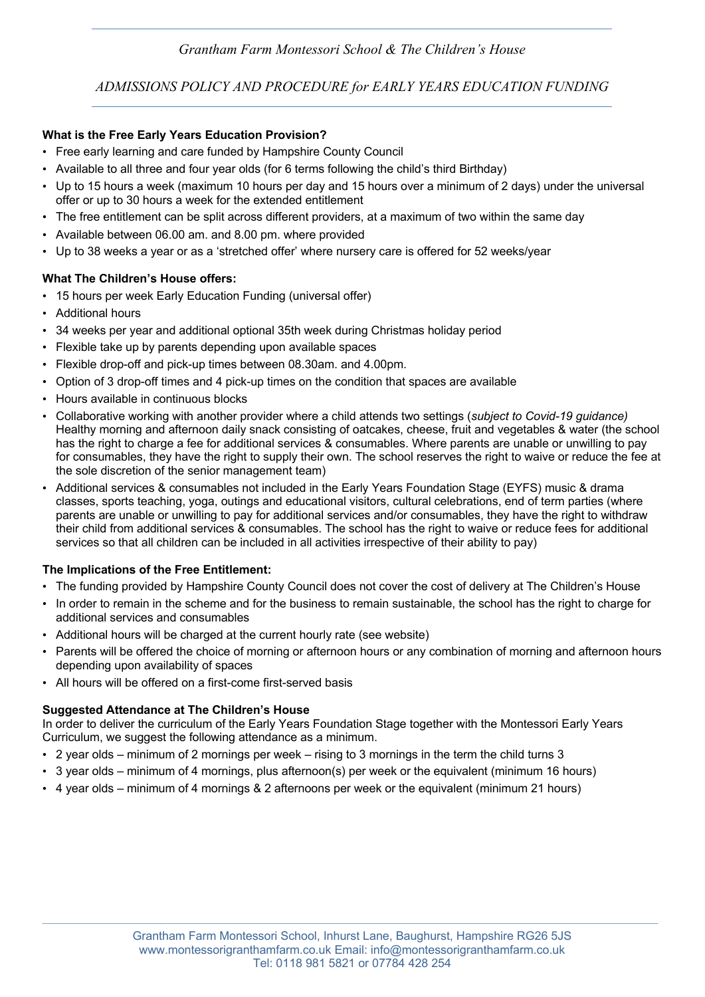# *Grantham Farm Montessori School & The Children's House*

*ADMISSIONS POLICY AND PROCEDURE for EARLY YEARS EDUCATION FUNDING*

## **What is the Free Early Years Education Provision?**

- Free early learning and care funded by Hampshire County Council
- Available to all three and four year olds (for 6 terms following the child's third Birthday)
- Up to 15 hours a week (maximum 10 hours per day and 15 hours over a minimum of 2 days) under the universal offer or up to 30 hours a week for the extended entitlement
- The free entitlement can be split across different providers, at a maximum of two within the same day
- Available between 06.00 am. and 8.00 pm. where provided
- Up to 38 weeks a year or as a 'stretched offer' where nursery care is offered for 52 weeks/year

### **What The Children's House offers:**

- 15 hours per week Early Education Funding (universal offer)
- Additional hours
- 34 weeks per year and additional optional 35th week during Christmas holiday period
- Flexible take up by parents depending upon available spaces
- Flexible drop-off and pick-up times between 08.30am. and 4.00pm.
- Option of 3 drop-off times and 4 pick-up times on the condition that spaces are available
- Hours available in continuous blocks
- Collaborative working with another provider where a child attends two settings (*subject to Covid-19 guidance)* Healthy morning and afternoon daily snack consisting of oatcakes, cheese, fruit and vegetables & water (the school has the right to charge a fee for additional services & consumables. Where parents are unable or unwilling to pay for consumables, they have the right to supply their own. The school reserves the right to waive or reduce the fee at the sole discretion of the senior management team)
- Additional services & consumables not included in the Early Years Foundation Stage (EYFS) music & drama classes, sports teaching, yoga, outings and educational visitors, cultural celebrations, end of term parties (where parents are unable or unwilling to pay for additional services and/or consumables, they have the right to withdraw their child from additional services & consumables. The school has the right to waive or reduce fees for additional services so that all children can be included in all activities irrespective of their ability to pay)

### **The Implications of the Free Entitlement:**

- The funding provided by Hampshire County Council does not cover the cost of delivery at The Children's House
- In order to remain in the scheme and for the business to remain sustainable, the school has the right to charge for additional services and consumables
- Additional hours will be charged at the current hourly rate (see website)
- Parents will be offered the choice of morning or afternoon hours or any combination of morning and afternoon hours depending upon availability of spaces
- All hours will be offered on a first-come first-served basis

### **Suggested Attendance at The Children's House**

In order to deliver the curriculum of the Early Years Foundation Stage together with the Montessori Early Years Curriculum, we suggest the following attendance as a minimum.

- 2 year olds minimum of 2 mornings per week rising to 3 mornings in the term the child turns 3
- 3 year olds minimum of 4 mornings, plus afternoon(s) per week or the equivalent (minimum 16 hours)
- 4 year olds minimum of 4 mornings & 2 afternoons per week or the equivalent (minimum 21 hours)